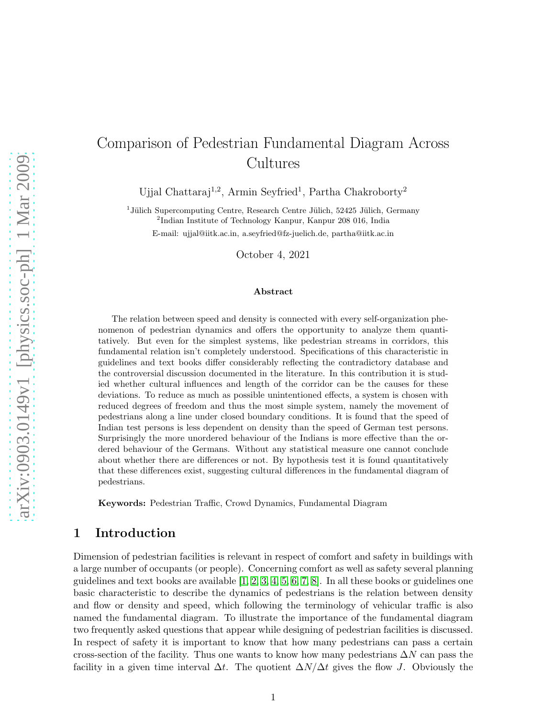# Comparison of Pedestrian Fundamental Diagram Across Cultures

Ujjal Chattaraj<sup>1,2</sup>, Armin Seyfried<sup>1</sup>, Partha Chakroborty<sup>2</sup>

<sup>1</sup> Jülich Supercomputing Centre, Research Centre Jülich, 52425 Jülich, Germany 2 Indian Institute of Technology Kanpur, Kanpur 208 016, India

E-mail: ujjal@iitk.ac.in, a.seyfried@fz-juelich.de, partha@iitk.ac.in

October 4, 2021

#### Abstract

The relation between speed and density is connected with every self-organization phenomenon of pedestrian dynamics and offers the opportunity to analyze them quantitatively. But even for the simplest systems, like pedestrian streams in corridors, this fundamental relation isn't completely understood. Specifications of this characteristic in guidelines and text books differ considerably reflecting the contradictory database and the controversial discussion documented in the literature. In this contribution it is studied whether cultural influences and length of the corridor can be the causes for these deviations. To reduce as much as possible unintentioned effects, a system is chosen with reduced degrees of freedom and thus the most simple system, namely the movement of pedestrians along a line under closed boundary conditions. It is found that the speed of Indian test persons is less dependent on density than the speed of German test persons. Surprisingly the more unordered behaviour of the Indians is more effective than the ordered behaviour of the Germans. Without any statistical measure one cannot conclude about whether there are differences or not. By hypothesis test it is found quantitatively that these differences exist, suggesting cultural differences in the fundamental diagram of pedestrians.

Keywords: Pedestrian Traffic, Crowd Dynamics, Fundamental Diagram

### 1 Introduction

Dimension of pedestrian facilities is relevant in respect of comfort and safety in buildings with a large number of occupants (or people). Concerning comfort as well as safety several planning guidelines and text books are available  $[1, 2, 3, 4, 5, 6, 7, 8]$  $[1, 2, 3, 4, 5, 6, 7, 8]$  $[1, 2, 3, 4, 5, 6, 7, 8]$  $[1, 2, 3, 4, 5, 6, 7, 8]$  $[1, 2, 3, 4, 5, 6, 7, 8]$  $[1, 2, 3, 4, 5, 6, 7, 8]$  $[1, 2, 3, 4, 5, 6, 7, 8]$  $[1, 2, 3, 4, 5, 6, 7, 8]$ . In all these books or guidelines one basic characteristic to describe the dynamics of pedestrians is the relation between density and flow or density and speed, which following the terminology of vehicular traffic is also named the fundamental diagram. To illustrate the importance of the fundamental diagram two frequently asked questions that appear while designing of pedestrian facilities is discussed. In respect of safety it is important to know that how many pedestrians can pass a certain cross-section of the facility. Thus one wants to know how many pedestrians  $\Delta N$  can pass the facility in a given time interval  $\Delta t$ . The quotient  $\Delta N/\Delta t$  gives the flow J. Obviously the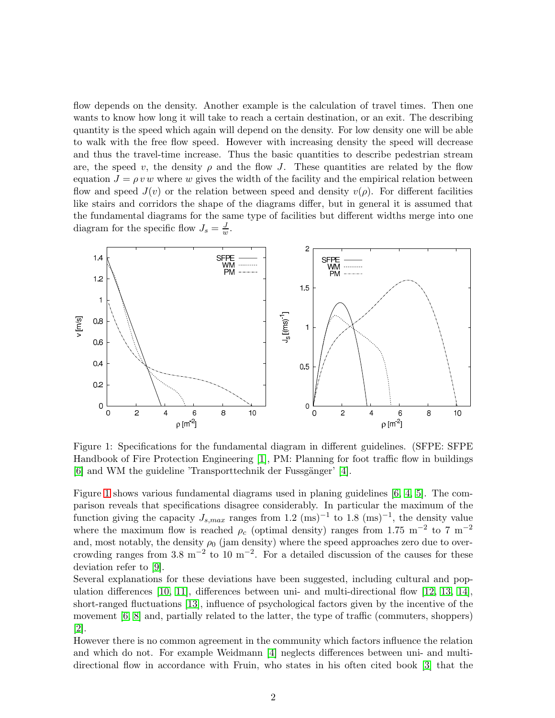flow depends on the density. Another example is the calculation of travel times. Then one wants to know how long it will take to reach a certain destination, or an exit. The describing quantity is the speed which again will depend on the density. For low density one will be able to walk with the free flow speed. However with increasing density the speed will decrease and thus the travel-time increase. Thus the basic quantities to describe pedestrian stream are, the speed v, the density  $\rho$  and the flow J. These quantities are related by the flow equation  $J = \rho v w$  where w gives the width of the facility and the empirical relation between flow and speed  $J(v)$  or the relation between speed and density  $v(\rho)$ . For different facilities like stairs and corridors the shape of the diagrams differ, but in general it is assumed that the fundamental diagrams for the same type of facilities but different widths merge into one diagram for the specific flow  $J_s = \frac{J}{u}$  $\frac{J}{w}$ .



<span id="page-1-0"></span>Figure 1: Specifications for the fundamental diagram in different guidelines. (SFPE: SFPE Handbook of Fire Protection Engineering [\[1\]](#page-10-0), PM: Planning for foot traffic flow in buildings  $[6]$  and WM the guideline 'Transporttechnik der Fussgänger'  $[4]$ .

Figure [1](#page-1-0) shows various fundamental diagrams used in planing guidelines [\[6,](#page-10-5) [4,](#page-10-3) [5\]](#page-10-4). The comparison reveals that specifications disagree considerably. In particular the maximum of the function giving the capacity  $J_{s,max}$  ranges from 1.2 (ms)<sup>-1</sup> to 1.8 (ms)<sup>-1</sup>, the density value where the maximum flow is reached  $\rho_c$  (optimal density) ranges from 1.75 m<sup>-2</sup> to 7 m<sup>-2</sup> and, most notably, the density  $\rho_0$  (jam density) where the speed approaches zero due to overcrowding ranges from 3.8 m<sup>-2</sup> to 10 m<sup>-2</sup>. For a detailed discussion of the causes for these deviation refer to [\[9\]](#page-10-8).

Several explanations for these deviations have been suggested, including cultural and population differences [\[10,](#page-10-9) [11\]](#page-10-10), differences between uni- and multi-directional flow [\[12,](#page-10-11) [13,](#page-11-0) [14\]](#page-11-1), short-ranged fluctuations [\[13\]](#page-11-0), influence of psychological factors given by the incentive of the movement [\[6,](#page-10-5) [8\]](#page-10-7) and, partially related to the latter, the type of traffic (commuters, shoppers) [\[2\]](#page-10-1).

However there is no common agreement in the community which factors influence the relation and which do not. For example Weidmann [\[4\]](#page-10-3) neglects differences between uni- and multidirectional flow in accordance with Fruin, who states in his often cited book [\[3\]](#page-10-2) that the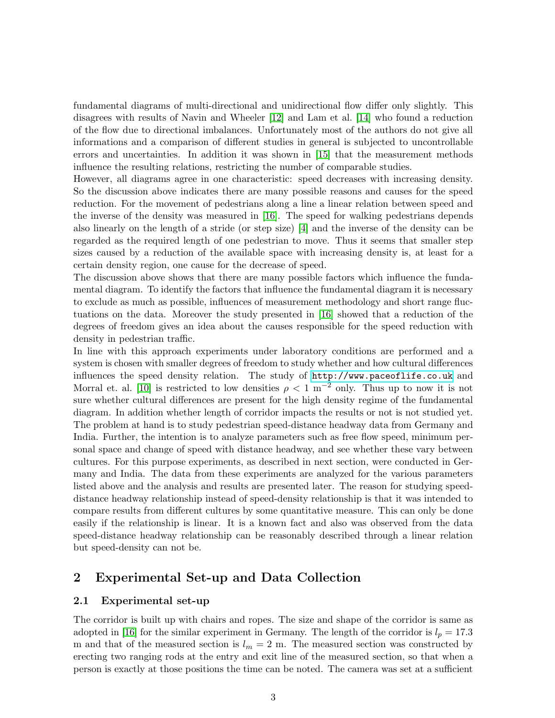fundamental diagrams of multi-directional and unidirectional flow differ only slightly. This disagrees with results of Navin and Wheeler [\[12\]](#page-10-11) and Lam et al. [\[14\]](#page-11-1) who found a reduction of the flow due to directional imbalances. Unfortunately most of the authors do not give all informations and a comparison of different studies in general is subjected to uncontrollable errors and uncertainties. In addition it was shown in [\[15\]](#page-11-2) that the measurement methods influence the resulting relations, restricting the number of comparable studies.

However, all diagrams agree in one characteristic: speed decreases with increasing density. So the discussion above indicates there are many possible reasons and causes for the speed reduction. For the movement of pedestrians along a line a linear relation between speed and the inverse of the density was measured in [\[16\]](#page-11-3). The speed for walking pedestrians depends also linearly on the length of a stride (or step size) [\[4\]](#page-10-3) and the inverse of the density can be regarded as the required length of one pedestrian to move. Thus it seems that smaller step sizes caused by a reduction of the available space with increasing density is, at least for a certain density region, one cause for the decrease of speed.

The discussion above shows that there are many possible factors which influence the fundamental diagram. To identify the factors that influence the fundamental diagram it is necessary to exclude as much as possible, influences of measurement methodology and short range fluctuations on the data. Moreover the study presented in [\[16\]](#page-11-3) showed that a reduction of the degrees of freedom gives an idea about the causes responsible for the speed reduction with density in pedestrian traffic.

In line with this approach experiments under laboratory conditions are performed and a system is chosen with smaller degrees of freedom to study whether and how cultural differences influences the speed density relation. The study of <http://www.paceoflife.co.uk> and Morral et. al. [\[10\]](#page-10-9) is restricted to low densities  $\rho < 1 \text{ m}^{-2}$  only. Thus up to now it is not sure whether cultural differences are present for the high density regime of the fundamental diagram. In addition whether length of corridor impacts the results or not is not studied yet. The problem at hand is to study pedestrian speed-distance headway data from Germany and India. Further, the intention is to analyze parameters such as free flow speed, minimum personal space and change of speed with distance headway, and see whether these vary between cultures. For this purpose experiments, as described in next section, were conducted in Germany and India. The data from these experiments are analyzed for the various parameters listed above and the analysis and results are presented later. The reason for studying speeddistance headway relationship instead of speed-density relationship is that it was intended to compare results from different cultures by some quantitative measure. This can only be done easily if the relationship is linear. It is a known fact and also was observed from the data speed-distance headway relationship can be reasonably described through a linear relation but speed-density can not be.

## 2 Experimental Set-up and Data Collection

#### 2.1 Experimental set-up

The corridor is built up with chairs and ropes. The size and shape of the corridor is same as adopted in [\[16\]](#page-11-3) for the similar experiment in Germany. The length of the corridor is  $l_p = 17.3$ m and that of the measured section is  $l_m = 2$  m. The measured section was constructed by erecting two ranging rods at the entry and exit line of the measured section, so that when a person is exactly at those positions the time can be noted. The camera was set at a sufficient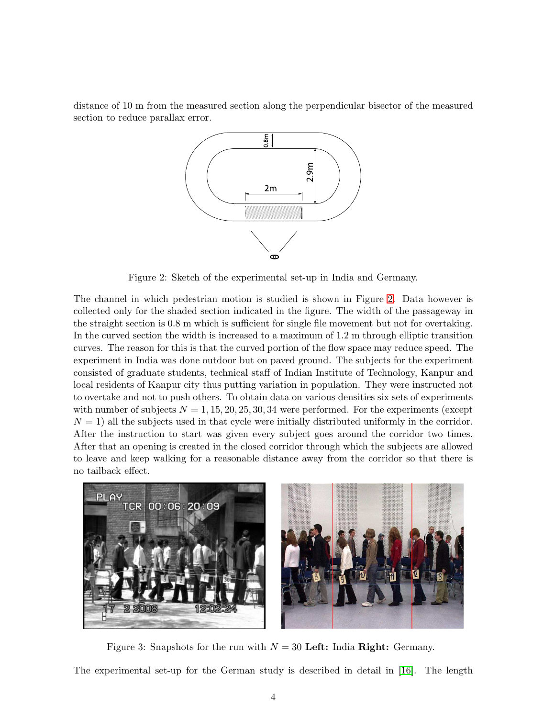distance of 10 m from the measured section along the perpendicular bisector of the measured section to reduce parallax error.



<span id="page-3-0"></span>Figure 2: Sketch of the experimental set-up in India and Germany.

The channel in which pedestrian motion is studied is shown in Figure [2.](#page-3-0) Data however is collected only for the shaded section indicated in the figure. The width of the passageway in the straight section is 0.8 m which is sufficient for single file movement but not for overtaking. In the curved section the width is increased to a maximum of 1.2 m through elliptic transition curves. The reason for this is that the curved portion of the flow space may reduce speed. The experiment in India was done outdoor but on paved ground. The subjects for the experiment consisted of graduate students, technical staff of Indian Institute of Technology, Kanpur and local residents of Kanpur city thus putting variation in population. They were instructed not to overtake and not to push others. To obtain data on various densities six sets of experiments with number of subjects  $N = 1, 15, 20, 25, 30, 34$  were performed. For the experiments (except  $N = 1$ ) all the subjects used in that cycle were initially distributed uniformly in the corridor. After the instruction to start was given every subject goes around the corridor two times. After that an opening is created in the closed corridor through which the subjects are allowed to leave and keep walking for a reasonable distance away from the corridor so that there is no tailback effect.



Figure 3: Snapshots for the run with  $N = 30$  Left: India Right: Germany.

<span id="page-3-1"></span>The experimental set-up for the German study is described in detail in [\[16\]](#page-11-3). The length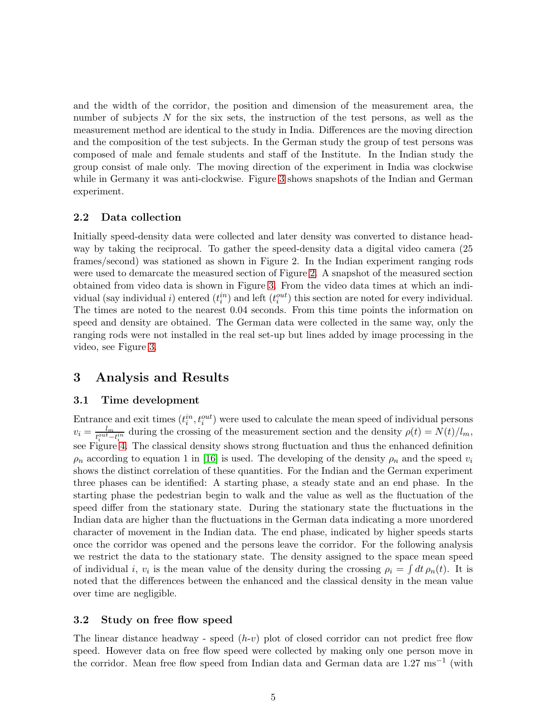and the width of the corridor, the position and dimension of the measurement area, the number of subjects N for the six sets, the instruction of the test persons, as well as the measurement method are identical to the study in India. Differences are the moving direction and the composition of the test subjects. In the German study the group of test persons was composed of male and female students and staff of the Institute. In the Indian study the group consist of male only. The moving direction of the experiment in India was clockwise while in Germany it was anti-clockwise. Figure [3](#page-3-1) shows snapshots of the Indian and German experiment.

### 2.2 Data collection

Initially speed-density data were collected and later density was converted to distance headway by taking the reciprocal. To gather the speed-density data a digital video camera (25 frames/second) was stationed as shown in Figure 2. In the Indian experiment ranging rods were used to demarcate the measured section of Figure [2.](#page-3-0) A snapshot of the measured section obtained from video data is shown in Figure [3.](#page-3-1) From the video data times at which an individual (say individual *i*) entered  $(t_i^{in})$  and left  $(t_i^{out})$  this section are noted for every individual. The times are noted to the nearest 0.04 seconds. From this time points the information on speed and density are obtained. The German data were collected in the same way, only the ranging rods were not installed in the real set-up but lines added by image processing in the video, see Figure [3.](#page-3-1)

## 3 Analysis and Results

#### 3.1 Time development

Entrance and exit times  $(t_i^{in}, t_i^{out})$  were used to calculate the mean speed of individual persons  $v_i = \frac{l_m}{t^{out}-1}$  $\frac{t_m}{t_i^{out}-t_i^{in}}$  during the crossing of the measurement section and the density  $\rho(t) = N(t)/l_m$ , see Figure [4.](#page-5-0) The classical density shows strong fluctuation and thus the enhanced definition  $\rho_n$  according to equation 1 in [\[16\]](#page-11-3) is used. The developing of the density  $\rho_n$  and the speed  $v_i$ shows the distinct correlation of these quantities. For the Indian and the German experiment three phases can be identified: A starting phase, a steady state and an end phase. In the starting phase the pedestrian begin to walk and the value as well as the fluctuation of the speed differ from the stationary state. During the stationary state the fluctuations in the Indian data are higher than the fluctuations in the German data indicating a more unordered character of movement in the Indian data. The end phase, indicated by higher speeds starts once the corridor was opened and the persons leave the corridor. For the following analysis we restrict the data to the stationary state. The density assigned to the space mean speed of individual *i*,  $v_i$  is the mean value of the density during the crossing  $\rho_i = \int dt \, \rho_n(t)$ . It is noted that the differences between the enhanced and the classical density in the mean value over time are negligible.

#### 3.2 Study on free flow speed

The linear distance headway - speed  $(h-v)$  plot of closed corridor can not predict free flow speed. However data on free flow speed were collected by making only one person move in the corridor. Mean free flow speed from Indian data and German data are 1.27 ms−<sup>1</sup> (with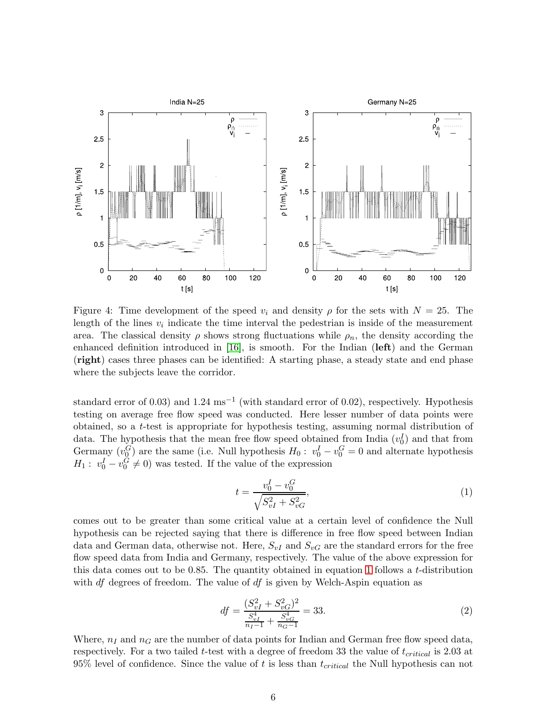

<span id="page-5-0"></span>Figure 4: Time development of the speed  $v_i$  and density  $\rho$  for the sets with  $N = 25$ . The length of the lines  $v_i$  indicate the time interval the pedestrian is inside of the measurement area. The classical density  $\rho$  shows strong fluctuations while  $\rho_n$ , the density according the enhanced definition introduced in [\[16\]](#page-11-3), is smooth. For the Indian (left) and the German (right) cases three phases can be identified: A starting phase, a steady state and end phase where the subjects leave the corridor.

standard error of 0.03) and  $1.24 \text{ ms}^{-1}$  (with standard error of 0.02), respectively. Hypothesis testing on average free flow speed was conducted. Here lesser number of data points were obtained, so a t-test is appropriate for hypothesis testing, assuming normal distribution of data. The hypothesis that the mean free flow speed obtained from India  $(v_0^I)$  and that from Germany  $(v_0^G)$  are the same (i.e. Null hypothesis  $H_0: v_0^I - v_0^G = 0$  and alternate hypothesis  $H_1: v_0^I - v_0^G \neq 0$  was tested. If the value of the expression

<span id="page-5-1"></span>
$$
t = \frac{v_0^I - v_0^G}{\sqrt{S_{vI}^2 + S_{vG}^2}},\tag{1}
$$

comes out to be greater than some critical value at a certain level of confidence the Null hypothesis can be rejected saying that there is difference in free flow speed between Indian data and German data, otherwise not. Here,  $S_{vI}$  and  $S_{vG}$  are the standard errors for the free flow speed data from India and Germany, respectively. The value of the above expression for this data comes out to be 0.85. The quantity obtained in equation [1](#page-5-1) follows a t-distribution with  $df$  degrees of freedom. The value of  $df$  is given by Welch-Aspin equation as

$$
df = \frac{(S_{vI}^2 + S_{vG}^2)^2}{\frac{S_{vI}^4}{n_I - 1} + \frac{S_{vG}^4}{n_G - 1}} = 33.
$$
\n<sup>(2)</sup>

Where,  $n_I$  and  $n_G$  are the number of data points for Indian and German free flow speed data, respectively. For a two tailed t-test with a degree of freedom 33 the value of  $t_{critical}$  is 2.03 at 95% level of confidence. Since the value of t is less than  $t_{critical}$  the Null hypothesis can not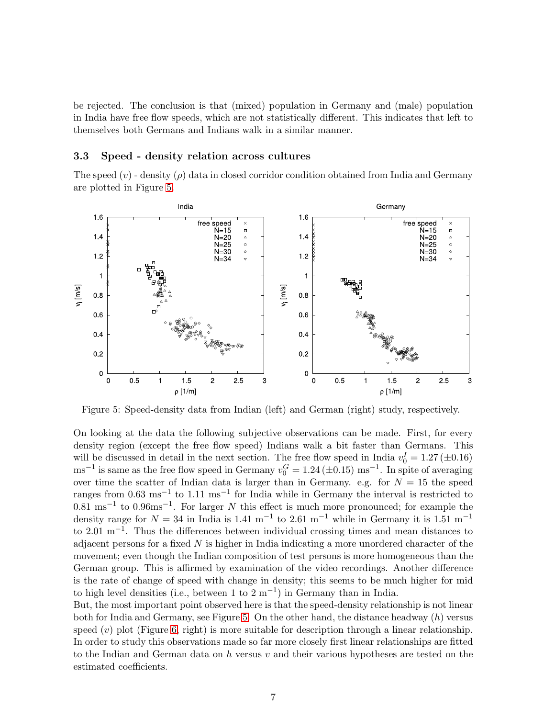be rejected. The conclusion is that (mixed) population in Germany and (male) population in India have free flow speeds, which are not statistically different. This indicates that left to themselves both Germans and Indians walk in a similar manner.

#### 3.3 Speed - density relation across cultures

The speed  $(v)$  - density  $(\rho)$  data in closed corridor condition obtained from India and Germany are plotted in Figure [5.](#page-6-0)



<span id="page-6-0"></span>Figure 5: Speed-density data from Indian (left) and German (right) study, respectively.

On looking at the data the following subjective observations can be made. First, for every density region (except the free flow speed) Indians walk a bit faster than Germans. This will be discussed in detail in the next section. The free flow speed in India  $v_0^I = 1.27 (\pm 0.16)$  $\text{ms}^{-1}$  is same as the free flow speed in Germany  $v_0^G = 1.24 \, (\pm 0.15) \text{ ms}^{-1}$ . In spite of averaging over time the scatter of Indian data is larger than in Germany. e.g. for  $N = 15$  the speed ranges from 0.63 ms<sup>-1</sup> to 1.11 ms<sup>-1</sup> for India while in Germany the interval is restricted to  $0.81 \text{ ms}^{-1}$  to  $0.96 \text{ms}^{-1}$ . For larger N this effect is much more pronounced; for example the density range for  $N = 34$  in India is 1.41 m<sup>-1</sup> to 2.61 m<sup>-1</sup> while in Germany it is 1.51 m<sup>-1</sup> to 2.01 m−<sup>1</sup> . Thus the differences between individual crossing times and mean distances to adjacent persons for a fixed  $N$  is higher in India indicating a more unordered character of the movement; even though the Indian composition of test persons is more homogeneous than the German group. This is affirmed by examination of the video recordings. Another difference is the rate of change of speed with change in density; this seems to be much higher for mid to high level densities (i.e., between 1 to  $2 \text{ m}^{-1}$ ) in Germany than in India.

But, the most important point observed here is that the speed-density relationship is not linear both for India and Germany, see Figure [5.](#page-6-0) On the other hand, the distance headway  $(h)$  versus speed  $(v)$  plot (Figure [6,](#page-7-0) right) is more suitable for description through a linear relationship. In order to study this observations made so far more closely first linear relationships are fitted to the Indian and German data on  $h$  versus  $v$  and their various hypotheses are tested on the estimated coefficients.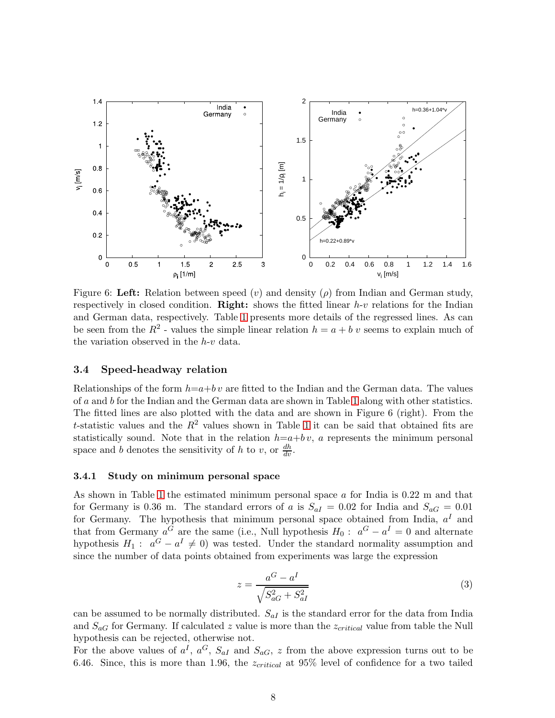

<span id="page-7-0"></span>Figure 6: Left: Relation between speed (v) and density ( $\rho$ ) from Indian and German study, respectively in closed condition. **Right:** shows the fitted linear  $h$ -v relations for the Indian and German data, respectively. Table [1](#page-8-0) presents more details of the regressed lines. As can be seen from the  $R^2$  - values the simple linear relation  $h = a + b v$  seems to explain much of the variation observed in the h-v data.

#### 3.4 Speed-headway relation

Relationships of the form  $h=a+b v$  are fitted to the Indian and the German data. The values of a and b for the Indian and the German data are shown in Table [1](#page-8-0) along with other statistics. The fitted lines are also plotted with the data and are shown in Figure 6 (right). From the t-statistic values and the  $R^2$  values shown in Table [1](#page-8-0) it can be said that obtained fits are statistically sound. Note that in the relation  $h=a+b v$ , a represents the minimum personal space and b denotes the sensitivity of h to v, or  $\frac{dh}{dv}$ .

#### 3.4.1 Study on minimum personal space

As shown in Table [1](#page-8-0) the estimated minimum personal space  $a$  for India is 0.22 m and that for Germany is 0.36 m. The standard errors of a is  $S_{aI} = 0.02$  for India and  $S_{aG} = 0.01$ for Germany. The hypothesis that minimum personal space obtained from India,  $a<sup>I</sup>$  and that from Germany  $a^G$  are the same (i.e., Null hypothesis  $H_0: a^G - a^I = 0$  and alternate hypothesis  $H_1: a^G - a^I \neq 0$  was tested. Under the standard normality assumption and since the number of data points obtained from experiments was large the expression

$$
z = \frac{a^G - a^I}{\sqrt{S_{aG}^2 + S_{aI}^2}}\tag{3}
$$

can be assumed to be normally distributed.  $S_{aI}$  is the standard error for the data from India and  $S_{aG}$  for Germany. If calculated z value is more than the  $z_{critical}$  value from table the Null hypothesis can be rejected, otherwise not.

For the above values of  $a^I, a^G, S_{aI}$  and  $S_{aG}, z$  from the above expression turns out to be 6.46. Since, this is more than 1.96, the  $z_{critical}$  at 95% level of confidence for a two tailed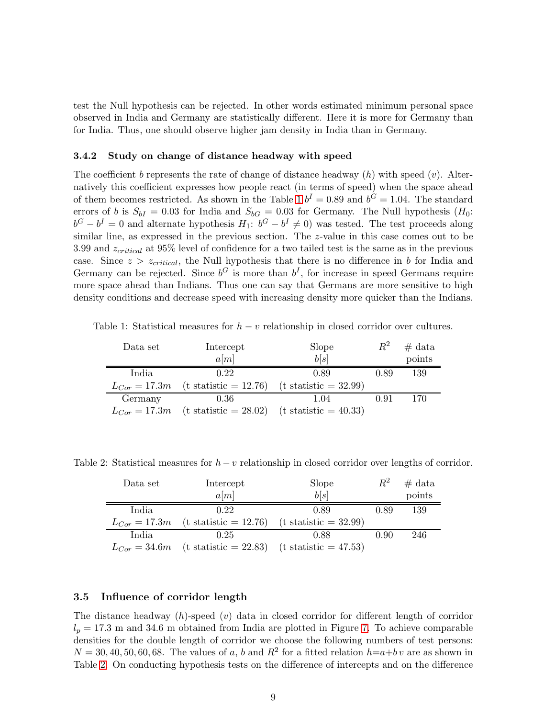test the Null hypothesis can be rejected. In other words estimated minimum personal space observed in India and Germany are statistically different. Here it is more for Germany than for India. Thus, one should observe higher jam density in India than in Germany.

#### 3.4.2 Study on change of distance headway with speed

The coefficient b represents the rate of change of distance headway  $(h)$  with speed  $(v)$ . Alternatively this coefficient expresses how people react (in terms of speed) when the space ahead of them becomes restricted. As shown in the Table [1](#page-8-0)  $b^I = 0.89$  and  $b^G = 1.04$ . The standard errors of b is  $S_{bI} = 0.03$  for India and  $S_{bG} = 0.03$  for Germany. The Null hypothesis  $(H_0:$  $b^G - b^I = 0$  and alternate hypothesis  $H_1$ :  $b^G - b^I \neq 0$ ) was tested. The test proceeds along similar line, as expressed in the previous section. The z-value in this case comes out to be 3.99 and  $z_{critical}$  at 95% level of confidence for a two tailed test is the same as in the previous case. Since  $z > z_{critical}$ , the Null hypothesis that there is no difference in b for India and Germany can be rejected. Since  $b^G$  is more than  $b^I$ , for increase in speed Germans require more space ahead than Indians. Thus one can say that Germans are more sensitive to high density conditions and decrease speed with increasing density more quicker than the Indians.

Table 1: Statistical measures for  $h - v$  relationship in closed corridor over cultures.

<span id="page-8-0"></span>

| Data set          | Intercept                                                       | Slope                           | $R^2$ | $#$ data |
|-------------------|-----------------------------------------------------------------|---------------------------------|-------|----------|
|                   | a[m]                                                            | b[s]                            |       | points   |
| India             | 0.22                                                            | 0.89                            | 0.89  | 139      |
| $L_{Cor} = 17.3m$ | $(t \text{ statistic} = 12.76)$                                 | $(t \text{ statistic} = 32.99)$ |       |          |
| Germany           | 0.36                                                            | 1.04                            | 0.91  | 170      |
| $L_{Cor} = 17.3m$ | $(t \text{ statistic} = 28.02)$ $(t \text{ statistic} = 40.33)$ |                                 |       |          |

Table 2: Statistical measures for  $h - v$  relationship in closed corridor over lengths of corridor.

<span id="page-8-1"></span>

| Data set          | Intercept                                                       | Slope                           | $\,R^2$ | $#$ data |
|-------------------|-----------------------------------------------------------------|---------------------------------|---------|----------|
|                   | a[m]                                                            | b[s]                            |         | points   |
| India             | 0.22                                                            | 0.89                            | 0.89    | 139      |
| $L_{Cor} = 17.3m$ | $(t \text{ statistic} = 12.76)$                                 | $(t \text{ statistic} = 32.99)$ |         |          |
| India             | 0.25                                                            | 0.88                            | 0.90    | 246      |
| $L_{Cor} = 34.6m$ | $(t \text{ statistic} = 22.83)$ $(t \text{ statistic} = 47.53)$ |                                 |         |          |

#### 3.5 Influence of corridor length

The distance headway  $(h)$ -speed  $(v)$  data in closed corridor for different length of corridor  $l_p = 17.3$  m and 34.6 m obtained from India are plotted in Figure [7.](#page-9-0) To achieve comparable densities for the double length of corridor we choose the following numbers of test persons:  $N = 30, 40, 50, 60, 68$ . The values of a, b and  $R^2$  for a fitted relation  $h=a+b\,v$  are as shown in Table [2.](#page-8-1) On conducting hypothesis tests on the difference of intercepts and on the difference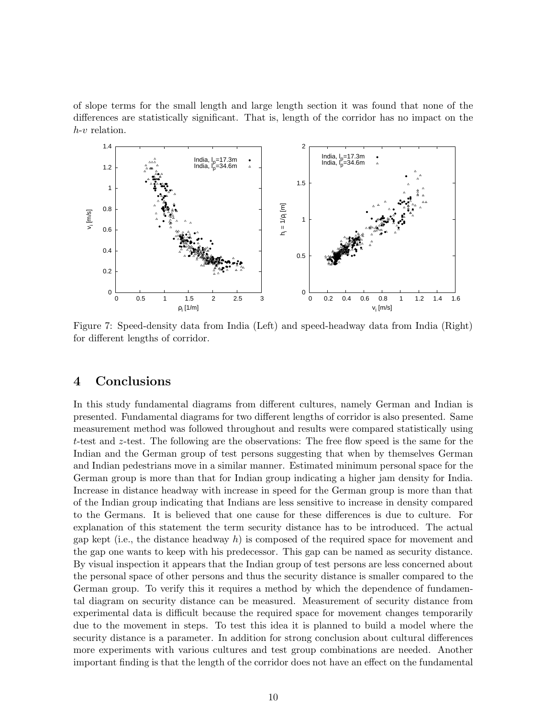of slope terms for the small length and large length section it was found that none of the differences are statistically significant. That is, length of the corridor has no impact on the h-v relation.



<span id="page-9-0"></span>Figure 7: Speed-density data from India (Left) and speed-headway data from India (Right) for different lengths of corridor.

# 4 Conclusions

In this study fundamental diagrams from different cultures, namely German and Indian is presented. Fundamental diagrams for two different lengths of corridor is also presented. Same measurement method was followed throughout and results were compared statistically using t-test and z-test. The following are the observations: The free flow speed is the same for the Indian and the German group of test persons suggesting that when by themselves German and Indian pedestrians move in a similar manner. Estimated minimum personal space for the German group is more than that for Indian group indicating a higher jam density for India. Increase in distance headway with increase in speed for the German group is more than that of the Indian group indicating that Indians are less sensitive to increase in density compared to the Germans. It is believed that one cause for these differences is due to culture. For explanation of this statement the term security distance has to be introduced. The actual gap kept (i.e., the distance headway h) is composed of the required space for movement and the gap one wants to keep with his predecessor. This gap can be named as security distance. By visual inspection it appears that the Indian group of test persons are less concerned about the personal space of other persons and thus the security distance is smaller compared to the German group. To verify this it requires a method by which the dependence of fundamental diagram on security distance can be measured. Measurement of security distance from experimental data is difficult because the required space for movement changes temporarily due to the movement in steps. To test this idea it is planned to build a model where the security distance is a parameter. In addition for strong conclusion about cultural differences more experiments with various cultures and test group combinations are needed. Another important finding is that the length of the corridor does not have an effect on the fundamental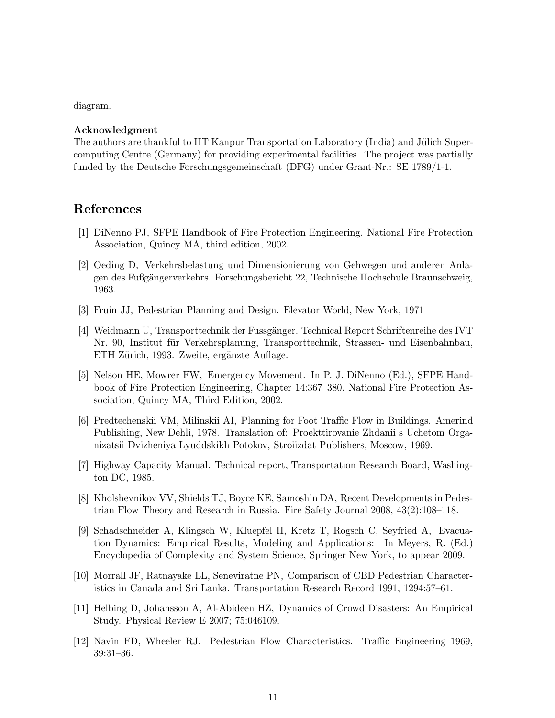diagram.

### Acknowledgment

The authors are thankful to IIT Kanpur Transportation Laboratory (India) and Jülich Supercomputing Centre (Germany) for providing experimental facilities. The project was partially funded by the Deutsche Forschungsgemeinschaft (DFG) under Grant-Nr.: SE 1789/1-1.

# <span id="page-10-0"></span>References

- <span id="page-10-1"></span>[1] DiNenno PJ, SFPE Handbook of Fire Protection Engineering. National Fire Protection Association, Quincy MA, third edition, 2002.
- [2] Oeding D, Verkehrsbelastung und Dimensionierung von Gehwegen und anderen Anlagen des Fußgängerverkehrs. Forschungsbericht 22, Technische Hochschule Braunschweig, 1963.
- <span id="page-10-3"></span><span id="page-10-2"></span>[3] Fruin JJ, Pedestrian Planning and Design. Elevator World, New York, 1971
- [4] Weidmann U, Transporttechnik der Fussgänger. Technical Report Schriftenreihe des IVT Nr. 90, Institut für Verkehrsplanung, Transporttechnik, Strassen- und Eisenbahnbau, ETH Zürich, 1993. Zweite, ergänzte Auflage.
- <span id="page-10-4"></span>[5] Nelson HE, Mowrer FW, Emergency Movement. In P. J. DiNenno (Ed.), SFPE Handbook of Fire Protection Engineering, Chapter 14:367–380. National Fire Protection Association, Quincy MA, Third Edition, 2002.
- <span id="page-10-5"></span>[6] Predtechenskii VM, Milinskii AI, Planning for Foot Traffic Flow in Buildings. Amerind Publishing, New Dehli, 1978. Translation of: Proekttirovanie Zhdanii s Uchetom Organizatsii Dvizheniya Lyuddskikh Potokov, Stroiizdat Publishers, Moscow, 1969.
- <span id="page-10-7"></span><span id="page-10-6"></span>[7] Highway Capacity Manual. Technical report, Transportation Research Board, Washington DC, 1985.
- [8] Kholshevnikov VV, Shields TJ, Boyce KE, Samoshin DA, Recent Developments in Pedestrian Flow Theory and Research in Russia. Fire Safety Journal 2008, 43(2):108–118.
- <span id="page-10-8"></span>[9] Schadschneider A, Klingsch W, Kluepfel H, Kretz T, Rogsch C, Seyfried A, Evacuation Dynamics: Empirical Results, Modeling and Applications: In Meyers, R. (Ed.) Encyclopedia of Complexity and System Science, Springer New York, to appear 2009.
- <span id="page-10-10"></span><span id="page-10-9"></span>[10] Morrall JF, Ratnayake LL, Seneviratne PN, Comparison of CBD Pedestrian Characteristics in Canada and Sri Lanka. Transportation Research Record 1991, 1294:57–61.
- [11] Helbing D, Johansson A, Al-Abideen HZ, Dynamics of Crowd Disasters: An Empirical Study. Physical Review E 2007; 75:046109.
- <span id="page-10-11"></span>[12] Navin FD, Wheeler RJ, Pedestrian Flow Characteristics. Traffic Engineering 1969, 39:31–36.